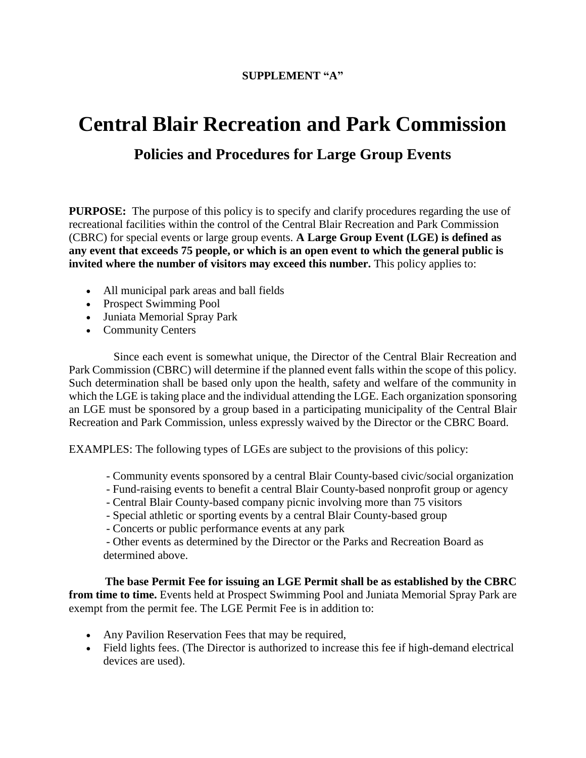## **SUPPLEMENT "A"**

## **Central Blair Recreation and Park Commission**

## **Policies and Procedures for Large Group Events**

**PURPOSE:** The purpose of this policy is to specify and clarify procedures regarding the use of recreational facilities within the control of the Central Blair Recreation and Park Commission (CBRC) for special events or large group events. **A Large Group Event (LGE) is defined as any event that exceeds 75 people, or which is an open event to which the general public is invited where the number of visitors may exceed this number.** This policy applies to:

- All municipal park areas and ball fields
- Prospect Swimming Pool
- Juniata Memorial Spray Park
- Community Centers

 Since each event is somewhat unique, the Director of the Central Blair Recreation and Park Commission (CBRC) will determine if the planned event falls within the scope of this policy. Such determination shall be based only upon the health, safety and welfare of the community in which the LGE is taking place and the individual attending the LGE. Each organization sponsoring an LGE must be sponsored by a group based in a participating municipality of the Central Blair Recreation and Park Commission, unless expressly waived by the Director or the CBRC Board.

EXAMPLES: The following types of LGEs are subject to the provisions of this policy:

- Community events sponsored by a central Blair County-based civic/social organization
- Fund-raising events to benefit a central Blair County-based nonprofit group or agency
- Central Blair County-based company picnic involving more than 75 visitors
- Special athletic or sporting events by a central Blair County-based group
- Concerts or public performance events at any park

- Other events as determined by the Director or the Parks and Recreation Board as determined above.

 **The base Permit Fee for issuing an LGE Permit shall be as established by the CBRC from time to time.** Events held at Prospect Swimming Pool and Juniata Memorial Spray Park are exempt from the permit fee. The LGE Permit Fee is in addition to:

- Any Pavilion Reservation Fees that may be required,
- Field lights fees. (The Director is authorized to increase this fee if high-demand electrical devices are used).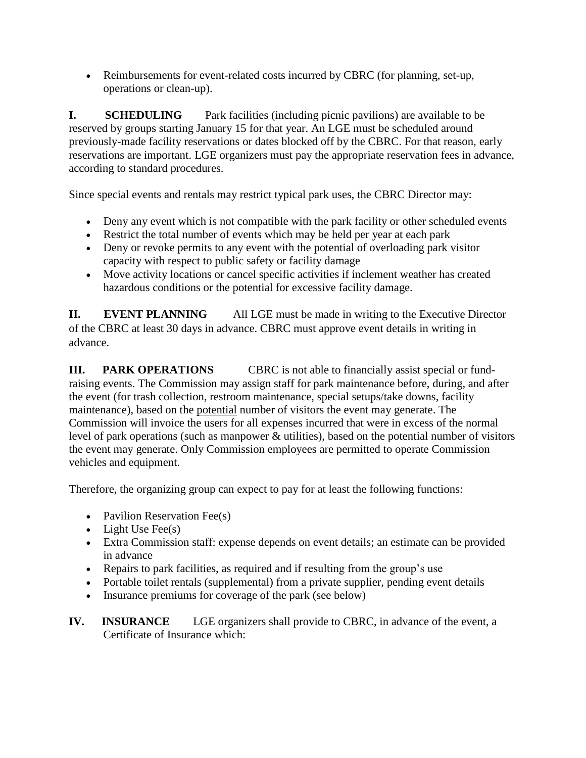Reimbursements for event-related costs incurred by CBRC (for planning, set-up, operations or clean-up).

**I. SCHEDULING** Park facilities (including picnic pavilions) are available to be reserved by groups starting January 15 for that year. An LGE must be scheduled around previously-made facility reservations or dates blocked off by the CBRC. For that reason, early reservations are important. LGE organizers must pay the appropriate reservation fees in advance, according to standard procedures.

Since special events and rentals may restrict typical park uses, the CBRC Director may:

- Deny any event which is not compatible with the park facility or other scheduled events
- Restrict the total number of events which may be held per year at each park
- Deny or revoke permits to any event with the potential of overloading park visitor capacity with respect to public safety or facility damage
- Move activity locations or cancel specific activities if inclement weather has created hazardous conditions or the potential for excessive facility damage.

**II.** EVENT PLANNING All LGE must be made in writing to the Executive Director of the CBRC at least 30 days in advance. CBRC must approve event details in writing in advance.

**III.** PARK OPERATIONS CBRC is not able to financially assist special or fundraising events. The Commission may assign staff for park maintenance before, during, and after the event (for trash collection, restroom maintenance, special setups/take downs, facility maintenance), based on the potential number of visitors the event may generate. The Commission will invoice the users for all expenses incurred that were in excess of the normal level of park operations (such as manpower & utilities), based on the potential number of visitors the event may generate. Only Commission employees are permitted to operate Commission vehicles and equipment.

Therefore, the organizing group can expect to pay for at least the following functions:

- Pavilion Reservation Fee(s)
- $\bullet$  Light Use Fee(s)
- Extra Commission staff: expense depends on event details; an estimate can be provided in advance
- Repairs to park facilities, as required and if resulting from the group's use
- Portable toilet rentals (supplemental) from a private supplier, pending event details
- Insurance premiums for coverage of the park (see below)
- **IV. INSURANCE** LGE organizers shall provide to CBRC, in advance of the event, a Certificate of Insurance which: